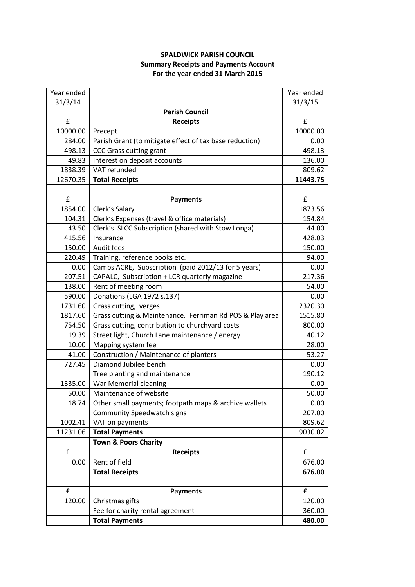## **SPALDWICK PARISH COUNCIL Summary Receipts and Payments Account For the year ended 31 March 2015**

| Year ended |                                                          | Year ended |
|------------|----------------------------------------------------------|------------|
| 31/3/14    |                                                          | 31/3/15    |
|            | <b>Parish Council</b>                                    |            |
| £          | <b>Receipts</b>                                          | £          |
| 10000.00   | Precept                                                  | 10000.00   |
| 284.00     | Parish Grant (to mitigate effect of tax base reduction)  | 0.00       |
| 498.13     | <b>CCC Grass cutting grant</b>                           | 498.13     |
| 49.83      | Interest on deposit accounts                             | 136.00     |
| 1838.39    | VAT refunded                                             | 809.62     |
| 12670.35   | <b>Total Receipts</b>                                    | 11443.75   |
|            |                                                          |            |
| £          | <b>Payments</b>                                          | £          |
| 1854.00    | Clerk's Salary                                           | 1873.56    |
| 104.31     | Clerk's Expenses (travel & office materials)             | 154.84     |
| 43.50      | Clerk's SLCC Subscription (shared with Stow Longa)       | 44.00      |
| 415.56     | Insurance                                                | 428.03     |
| 150.00     | Audit fees                                               | 150.00     |
| 220.49     | Training, reference books etc.                           | 94.00      |
| 0.00       | Cambs ACRE, Subscription (paid 2012/13 for 5 years)      | 0.00       |
| 207.51     | CAPALC, Subscription + LCR quarterly magazine            | 217.36     |
| 138.00     | Rent of meeting room                                     | 54.00      |
| 590.00     | Donations (LGA 1972 s.137)                               | 0.00       |
| 1731.60    | Grass cutting, verges                                    | 2320.30    |
| 1817.60    | Grass cutting & Maintenance. Ferriman Rd POS & Play area | 1515.80    |
| 754.50     | Grass cutting, contribution to churchyard costs          | 800.00     |
| 19.39      | Street light, Church Lane maintenance / energy           | 40.12      |
| 10.00      | Mapping system fee                                       | 28.00      |
| 41.00      | Construction / Maintenance of planters                   | 53.27      |
| 727.45     | Diamond Jubilee bench                                    | 0.00       |
|            | Tree planting and maintenance                            | 190.12     |
| 1335.00    | War Memorial cleaning                                    | 0.00       |
| 50.00      | Maintenance of website                                   | 50.00      |
| 18.74      | Other small payments; footpath maps & archive wallets    | 0.00       |
|            | <b>Community Speedwatch signs</b>                        | 207.00     |
| 1002.41    | VAT on payments                                          | 809.62     |
| 11231.06   | <b>Total Payments</b>                                    | 9030.02    |
|            | <b>Town &amp; Poors Charity</b>                          |            |
| £          | <b>Receipts</b>                                          | £          |
| 0.00       | Rent of field                                            | 676.00     |
|            | <b>Total Receipts</b>                                    | 676.00     |
|            |                                                          |            |
| £          | <b>Payments</b>                                          | £          |
| 120.00     | Christmas gifts                                          | 120.00     |
|            | Fee for charity rental agreement                         | 360.00     |
|            | <b>Total Payments</b>                                    | 480.00     |